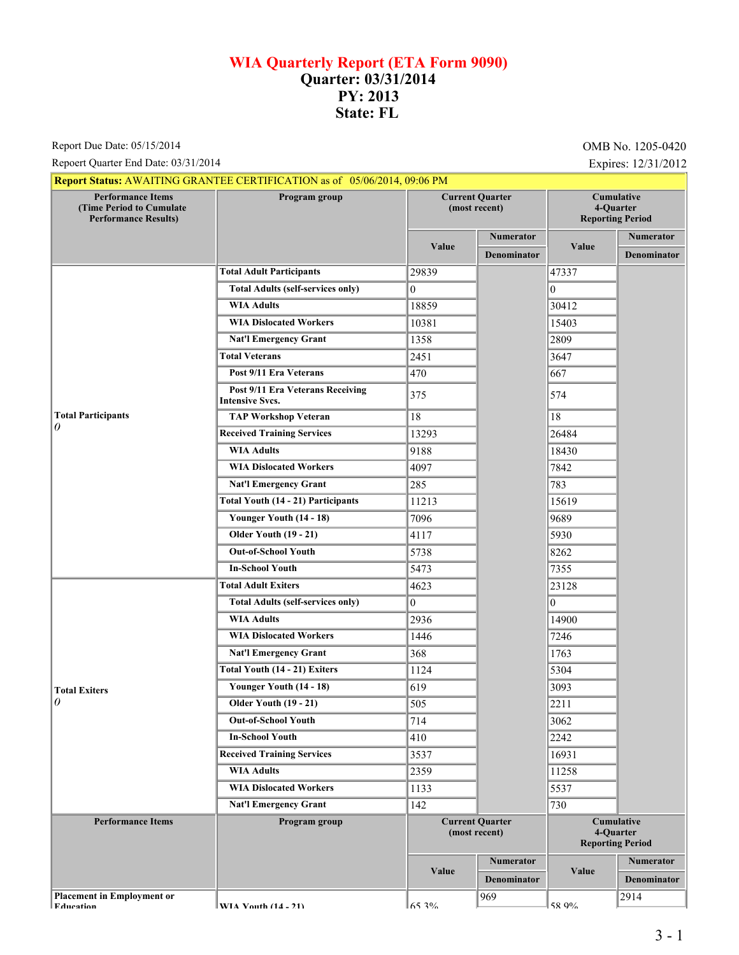## **WIA Quarterly Report (ETA Form 9090) Quarter: 03/31/2014 PY: 2013 State: FL**

Report Due Date: 05/15/2014 **OMB No. 1205-0420** 

Repoert Quarter End Date: 03/31/2014 Expires: 12/31/2012

|                                                                                     | Report Status: AWAITING GRANTEE CERTIFICATION as of 05/06/2014, 09:06 PM |                                         |                        |                                                           |                    |
|-------------------------------------------------------------------------------------|--------------------------------------------------------------------------|-----------------------------------------|------------------------|-----------------------------------------------------------|--------------------|
| <b>Performance Items</b><br>(Time Period to Cumulate<br><b>Performance Results)</b> | Program group                                                            | <b>Current Quarter</b><br>(most recent) |                        | <b>Cumulative</b><br>4-Quarter<br><b>Reporting Period</b> |                    |
|                                                                                     |                                                                          | Value                                   | <b>Numerator</b>       |                                                           | Numerator          |
|                                                                                     |                                                                          |                                         | <b>Denominator</b>     | Value                                                     | <b>Denominator</b> |
|                                                                                     | <b>Total Adult Participants</b>                                          | 29839                                   |                        | 47337                                                     |                    |
|                                                                                     | <b>Total Adults (self-services only)</b>                                 | $\theta$                                |                        | $\theta$                                                  |                    |
|                                                                                     | <b>WIA Adults</b>                                                        | 18859                                   |                        | 30412                                                     |                    |
|                                                                                     | <b>WIA Dislocated Workers</b>                                            | 10381                                   |                        | 15403                                                     |                    |
|                                                                                     | <b>Nat'l Emergency Grant</b>                                             | 1358                                    |                        | 2809                                                      |                    |
|                                                                                     | <b>Total Veterans</b>                                                    | 2451                                    |                        | 3647                                                      |                    |
|                                                                                     | Post 9/11 Era Veterans                                                   | 470                                     |                        | 667                                                       |                    |
|                                                                                     | Post 9/11 Era Veterans Receiving<br><b>Intensive Svcs.</b>               | 375                                     |                        | 574                                                       |                    |
| <b>Total Participants</b>                                                           | <b>TAP Workshop Veteran</b>                                              | 18                                      |                        | 18                                                        |                    |
| 0                                                                                   | <b>Received Training Services</b>                                        | 13293                                   |                        | 26484                                                     |                    |
|                                                                                     | <b>WIA Adults</b>                                                        | 9188                                    |                        | 18430                                                     |                    |
|                                                                                     | <b>WIA Dislocated Workers</b>                                            | 4097                                    |                        | 7842                                                      |                    |
|                                                                                     | <b>Nat'l Emergency Grant</b>                                             | 285                                     |                        | 783                                                       |                    |
|                                                                                     | <b>Total Youth (14 - 21) Participants</b>                                | 11213                                   |                        | 15619                                                     |                    |
|                                                                                     | Younger Youth (14 - 18)                                                  | 7096                                    |                        | 9689                                                      |                    |
|                                                                                     | <b>Older Youth (19 - 21)</b>                                             | 4117                                    |                        | 5930                                                      |                    |
|                                                                                     | <b>Out-of-School Youth</b>                                               | 5738                                    |                        | 8262                                                      |                    |
|                                                                                     | <b>In-School Youth</b>                                                   | 5473                                    |                        | 7355                                                      |                    |
|                                                                                     | <b>Total Adult Exiters</b>                                               | 4623                                    |                        | 23128                                                     |                    |
|                                                                                     | <b>Total Adults (self-services only)</b>                                 | $\boldsymbol{0}$                        |                        | $\mathbf{0}$                                              |                    |
|                                                                                     | <b>WIA Adults</b>                                                        | 2936                                    |                        | 14900                                                     |                    |
|                                                                                     | <b>WIA Dislocated Workers</b>                                            | 1446                                    |                        | 7246                                                      |                    |
|                                                                                     | <b>Nat'l Emergency Grant</b>                                             | 368                                     |                        | 1763                                                      |                    |
|                                                                                     | Total Youth (14 - 21) Exiters                                            | 1124                                    |                        | 5304                                                      |                    |
| <b>Total Exiters</b><br>0                                                           | Younger Youth (14 - 18)                                                  | 619                                     |                        | 3093                                                      |                    |
|                                                                                     | <b>Older Youth (19 - 21)</b>                                             | 505                                     |                        | 2211                                                      |                    |
|                                                                                     | <b>Out-of-School Youth</b>                                               | 714                                     |                        | 3062                                                      |                    |
|                                                                                     | <b>In-School Youth</b>                                                   | 410                                     |                        | 2242                                                      |                    |
|                                                                                     | <b>Received Training Services</b>                                        | 3537                                    |                        | 16931                                                     |                    |
|                                                                                     | <b>WIA Adults</b>                                                        | 2359                                    |                        | 11258                                                     |                    |
|                                                                                     | <b>WIA Dislocated Workers</b>                                            | 1133                                    |                        | 5537                                                      |                    |
|                                                                                     | <b>Nat'l Emergency Grant</b>                                             | 142                                     |                        | 730                                                       |                    |
| <b>Performance Items</b>                                                            | Program group                                                            |                                         | <b>Current Quarter</b> | <b>Cumulative</b><br>4-Quarter<br><b>Reporting Period</b> |                    |
|                                                                                     |                                                                          |                                         | (most recent)          |                                                           |                    |
|                                                                                     |                                                                          | Value                                   | <b>Numerator</b>       | Value                                                     | Numerator          |
|                                                                                     |                                                                          |                                         | <b>Denominator</b>     |                                                           | <b>Denominator</b> |
| <b>Placement in Employment or</b><br><b>Fducation</b>                               | <b>WIA Vouth (14 - 71)</b>                                               | 65 30%                                  | 969                    | 58 0%                                                     | 2914               |

**Pracement in Employier** 

**EXITA Vouth (14 - 21)**  $65.3\%$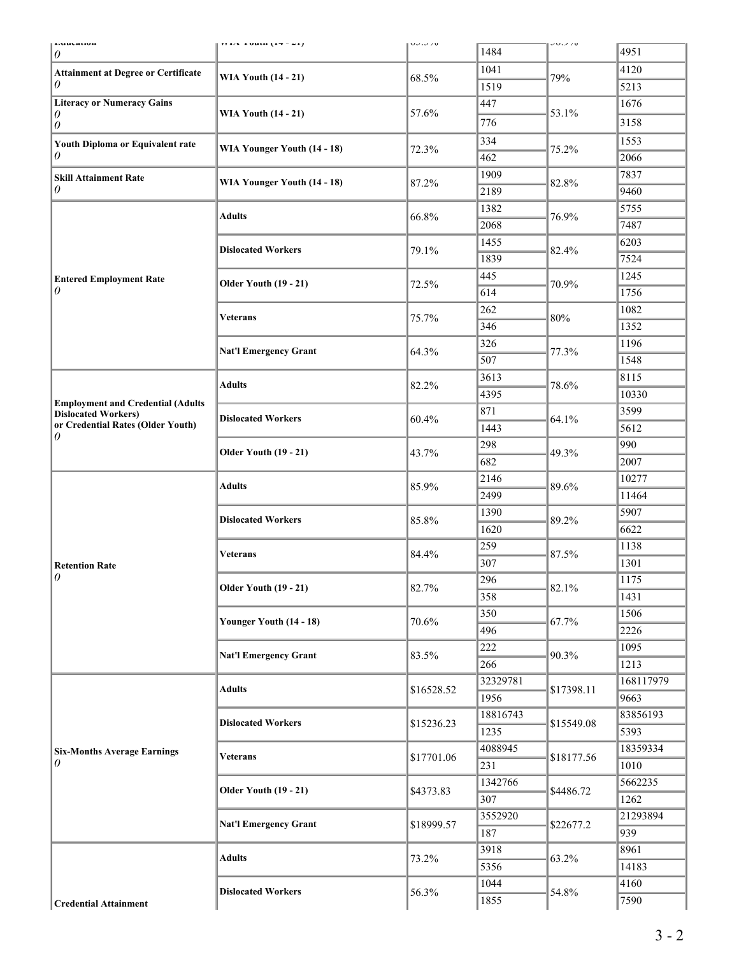| Luuvauvn<br>0                                                          | 11 123 1 0 10 11 1 1 2 2 1 1 | <b>UU.U /U</b> | 1484     | JU.J/U     | 4951      |
|------------------------------------------------------------------------|------------------------------|----------------|----------|------------|-----------|
| <b>Attainment at Degree or Certificate</b><br>0                        | <b>WIA Youth (14 - 21)</b>   | 68.5%          | 1041     | 79%        | 4120      |
|                                                                        |                              |                | 1519     |            | 5213      |
| <b>Literacy or Numeracy Gains</b><br>0                                 | <b>WIA Youth (14 - 21)</b>   |                | 447      |            | 1676      |
|                                                                        |                              | 57.6%          | 776      | 53.1%      | 3158      |
| $\theta$                                                               |                              |                | 334      |            | 1553      |
| Youth Diploma or Equivalent rate<br>0                                  | WIA Younger Youth (14 - 18)  | 72.3%          | 462      | 75.2%      | 2066      |
|                                                                        |                              |                | 1909     |            | 7837      |
| <b>Skill Attainment Rate</b><br>0                                      | WIA Younger Youth (14 - 18)  | 87.2%          | 2189     | 82.8%      | 9460      |
|                                                                        |                              |                | 1382     |            | 5755      |
|                                                                        | <b>Adults</b>                | 66.8%          | 2068     | 76.9%      |           |
|                                                                        |                              |                |          |            | 7487      |
|                                                                        | <b>Dislocated Workers</b>    | 79.1%          | 1455     | 82.4%      | 6203      |
|                                                                        |                              |                | 1839     |            | 7524      |
| <b>Entered Employment Rate</b><br>0                                    | <b>Older Youth (19 - 21)</b> | 72.5%          | 445      | 70.9%      | 1245      |
|                                                                        |                              |                | 614      |            | 1756      |
|                                                                        | <b>Veterans</b>              | 75.7%          | 262      | 80%        | 1082      |
|                                                                        |                              |                | 346      |            | 1352      |
|                                                                        | <b>Nat'l Emergency Grant</b> | 64.3%          | 326      | 77.3%      | 1196      |
|                                                                        |                              |                | 507      |            | 1548      |
| <b>Employment and Credential (Adults</b><br><b>Dislocated Workers)</b> | <b>Adults</b>                | 82.2%          | 3613     | 78.6%      | 8115      |
|                                                                        |                              |                | 4395     |            | 10330     |
|                                                                        | <b>Dislocated Workers</b>    | 60.4%          | 871      | 64.1%      | 3599      |
| or Credential Rates (Older Youth)<br>0                                 |                              |                | 1443     |            | 5612      |
|                                                                        | <b>Older Youth (19 - 21)</b> | 43.7%          | 298      | 49.3%      | 990       |
|                                                                        |                              |                | 682      |            | 2007      |
|                                                                        | <b>Adults</b>                | 85.9%          | 2146     | 89.6%      | 10277     |
|                                                                        |                              |                | 2499     |            | 11464     |
|                                                                        | <b>Dislocated Workers</b>    | 85.8%          | 1390     | 89.2%      | 5907      |
|                                                                        |                              |                | 1620     |            | 6622      |
|                                                                        | <b>Veterans</b>              | 84.4%          | 259      | 87.5%      | 1138      |
| <b>Retention Rate</b>                                                  |                              |                | 307      |            | 1301      |
| $\theta$                                                               | <b>Older Youth (19 - 21)</b> | 82.7%          | 296      | 82.1%      | 1175      |
|                                                                        |                              |                | 358      |            | 1431      |
|                                                                        | Younger Youth (14 - 18)      | 70.6%          | 350      | 67.7%      | 1506      |
|                                                                        |                              |                | 496      |            | 2226      |
|                                                                        | <b>Nat'l Emergency Grant</b> | 83.5%          | 222      | 90.3%      | 1095      |
|                                                                        |                              |                | 266      |            | 1213      |
|                                                                        | <b>Adults</b>                | \$16528.52     | 32329781 | \$17398.11 | 168117979 |
|                                                                        |                              |                | 1956     |            | 9663      |
|                                                                        | <b>Dislocated Workers</b>    | \$15236.23     | 18816743 | \$15549.08 | 83856193  |
| <b>Six-Months Average Earnings</b>                                     |                              |                | 1235     |            | 5393      |
|                                                                        | <b>Veterans</b>              | \$17701.06     | 4088945  | \$18177.56 | 18359334  |
| 0                                                                      |                              |                | 231      |            | 1010      |
|                                                                        | <b>Older Youth (19 - 21)</b> | \$4373.83      | 1342766  | \$4486.72  | 5662235   |
|                                                                        |                              |                | 307      |            | 1262      |
|                                                                        | <b>Nat'l Emergency Grant</b> | \$18999.57     | 3552920  | \$22677.2  | 21293894  |
|                                                                        |                              |                | 187      |            | 939       |
|                                                                        | <b>Adults</b>                | 73.2%          | 3918     | 63.2%      | 8961      |
|                                                                        |                              |                | 5356     |            | 14183     |
|                                                                        | <b>Dislocated Workers</b>    |                | 1044     | 54.8%      | 4160      |
| <b>Credential Attainment</b>                                           |                              | 56.3%          | 1855     |            | 7590      |